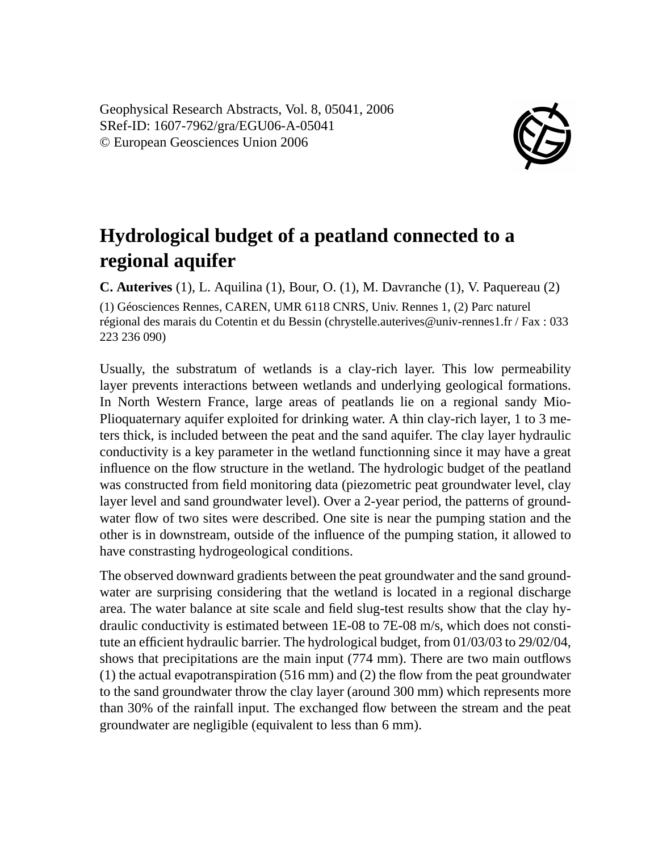Geophysical Research Abstracts, Vol. 8, 05041, 2006 SRef-ID: 1607-7962/gra/EGU06-A-05041 © European Geosciences Union 2006



## **Hydrological budget of a peatland connected to a regional aquifer**

**C. Auterives** (1), L. Aquilina (1), Bour, O. (1), M. Davranche (1), V. Paquereau (2) (1) Géosciences Rennes, CAREN, UMR 6118 CNRS, Univ. Rennes 1, (2) Parc naturel régional des marais du Cotentin et du Bessin (chrystelle.auterives@univ-rennes1.fr / Fax : 033 223 236 090)

Usually, the substratum of wetlands is a clay-rich layer. This low permeability layer prevents interactions between wetlands and underlying geological formations. In North Western France, large areas of peatlands lie on a regional sandy Mio-Plioquaternary aquifer exploited for drinking water. A thin clay-rich layer, 1 to 3 meters thick, is included between the peat and the sand aquifer. The clay layer hydraulic conductivity is a key parameter in the wetland functionning since it may have a great influence on the flow structure in the wetland. The hydrologic budget of the peatland was constructed from field monitoring data (piezometric peat groundwater level, clay layer level and sand groundwater level). Over a 2-year period, the patterns of groundwater flow of two sites were described. One site is near the pumping station and the other is in downstream, outside of the influence of the pumping station, it allowed to have constrasting hydrogeological conditions.

The observed downward gradients between the peat groundwater and the sand groundwater are surprising considering that the wetland is located in a regional discharge area. The water balance at site scale and field slug-test results show that the clay hydraulic conductivity is estimated between 1E-08 to 7E-08 m/s, which does not constitute an efficient hydraulic barrier. The hydrological budget, from 01/03/03 to 29/02/04, shows that precipitations are the main input (774 mm). There are two main outflows (1) the actual evapotranspiration (516 mm) and (2) the flow from the peat groundwater to the sand groundwater throw the clay layer (around 300 mm) which represents more than 30% of the rainfall input. The exchanged flow between the stream and the peat groundwater are negligible (equivalent to less than 6 mm).